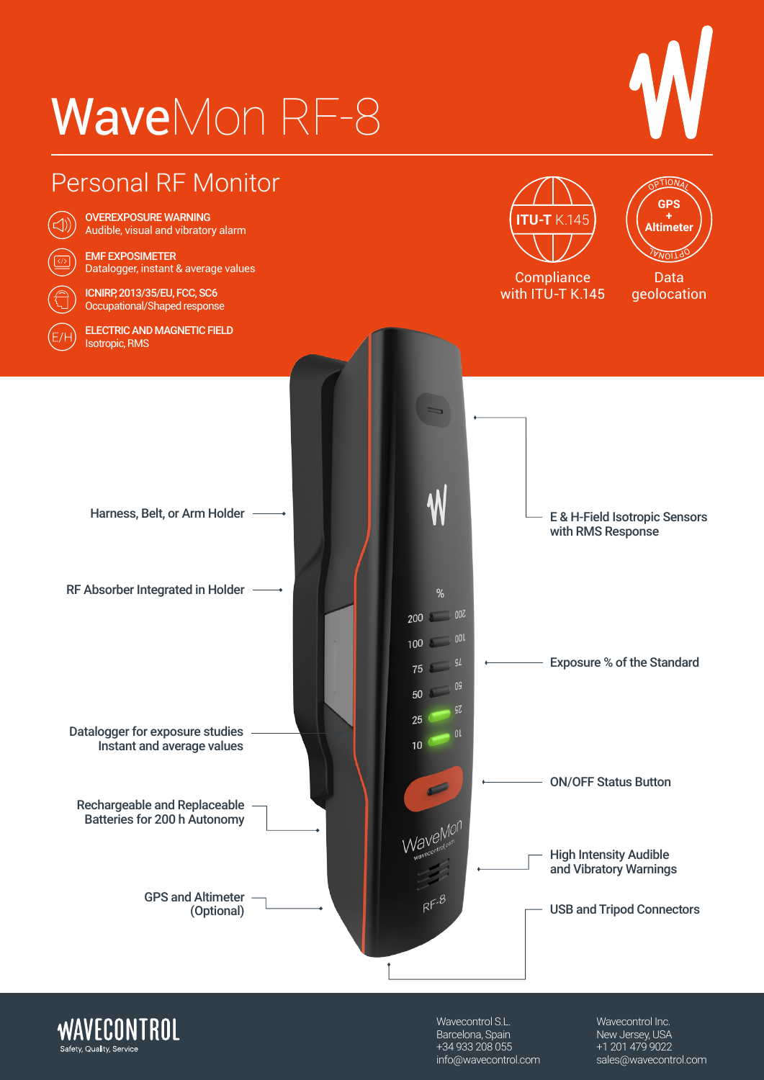# WaveMon RF-8







Wavecontrol S.L. Barcelona, Spain +34 933 208 055 [info@wavecontrol.com](mailto:info%40wavecontrol.com?subject=) Wavecontrol Inc. New Jersey, USA +1 201 479 9022 [sales@wavecontrol.com](mailto:sales%40wavecontrol.com?subject=)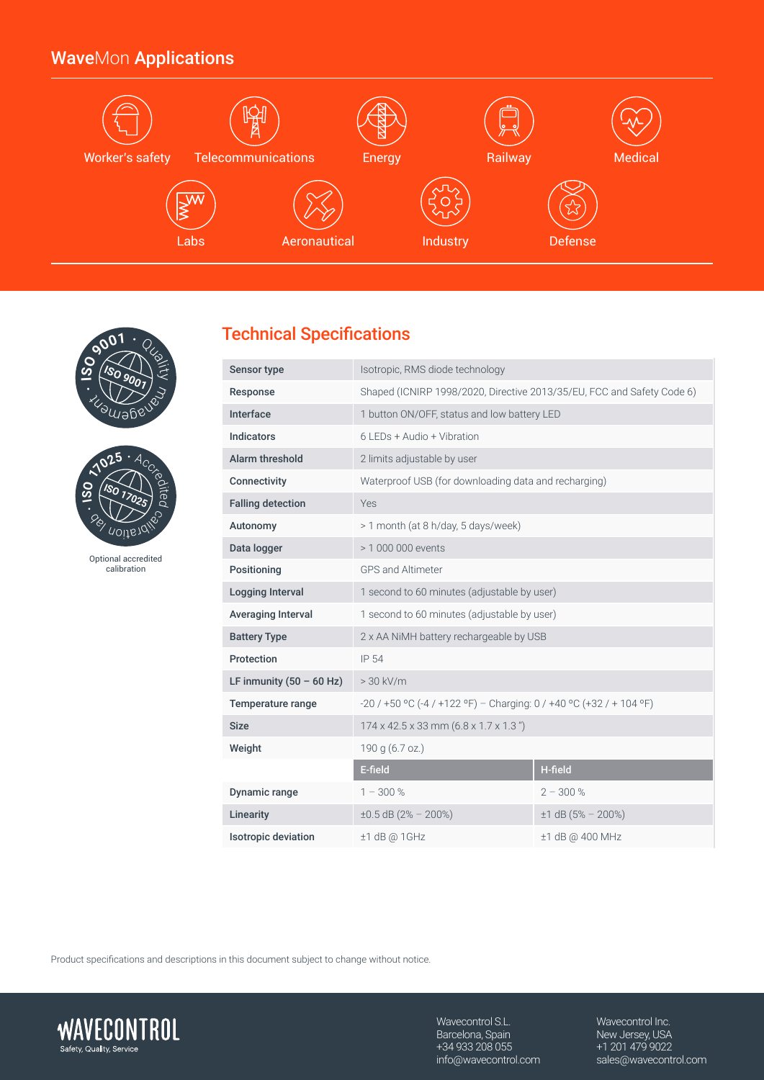## WaveMon Applications







Optional accredited calibration

## Technical Specifications

| Sensor type                | Isotropic, RMS diode technology                                        |                        |  |
|----------------------------|------------------------------------------------------------------------|------------------------|--|
| Response                   | Shaped (ICNIRP 1998/2020, Directive 2013/35/EU, FCC and Safety Code 6) |                        |  |
| Interface                  | 1 button ON/OFF, status and low battery LED                            |                        |  |
| <b>Indicators</b>          | 6 LEDs + Audio + Vibration                                             |                        |  |
| <b>Alarm threshold</b>     | 2 limits adjustable by user                                            |                        |  |
| Connectivity               | Waterproof USB (for downloading data and recharging)                   |                        |  |
| <b>Falling detection</b>   | Yes                                                                    |                        |  |
| Autonomy                   | > 1 month (at 8 h/day, 5 days/week)                                    |                        |  |
| Data logger                | > 1 000 000 events                                                     |                        |  |
| Positioning                | <b>GPS and Altimeter</b>                                               |                        |  |
| Logging Interval           | 1 second to 60 minutes (adjustable by user)                            |                        |  |
| Averaging Interval         | 1 second to 60 minutes (adjustable by user)                            |                        |  |
| <b>Battery Type</b>        | 2 x AA NiMH battery rechargeable by USB                                |                        |  |
| Protection                 | IP 54                                                                  |                        |  |
| LF inmunity $(50 - 60$ Hz) | $> 30$ kV/m                                                            |                        |  |
| Temperature range          | $-20/150$ °C (-4 / +122 °F) – Charging: 0 / +40 °C (+32 / + 104 °F)    |                        |  |
| <b>Size</b>                | $174 \times 42.5 \times 33$ mm $(6.8 \times 1.7 \times 1.3)$           |                        |  |
| Weight                     | 190 g (6.7 oz.)                                                        |                        |  |
|                            | E-field                                                                | H-field                |  |
| Dynamic range              | $1 - 300\%$                                                            | $2 - 300%$             |  |
| Linearity                  | $\pm 0.5$ dB (2% - 200%)                                               | $\pm 1$ dB (5% - 200%) |  |
| <b>Isotropic deviation</b> | $±1$ dB @ 1GHz                                                         | ±1 dB @ 400 MHz        |  |

Product specifications and descriptions in this document subject to change without notice.



Wavecontrol S.L. Barcelona, Spain +34 933 208 055 [info@wavecontrol.com](mailto:info%40wavecontrol.com?subject=) Wavecontrol Inc. New Jersey, USA +1 201 479 9022 [sales@wavecontrol.com](mailto:sales%40wavecontrol.com?subject=)